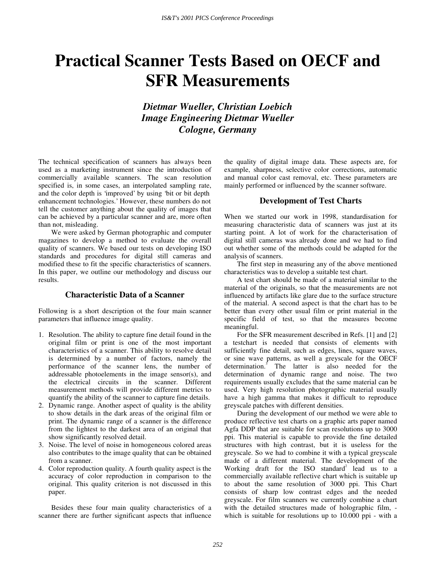# **Practical Scanner Tests Based on OECF and SFR Measurements**

*Dietmar Wueller, Christian Loebich Image Engineering Dietmar Wueller Cologne, Germany* 

The technical specification of scanners has always been used as a marketing instrument since the introduction of commercially available scanners. The scan resolution specified is, in some cases, an interpolated sampling rate, and the color depth is 'improved' by using 'bit or bit depth enhancement technologies.' However, these numbers do not tell the customer anything about the quality of images that can be achieved by a particular scanner and are, more often than not, misleading.

We were asked by German photographic and computer magazines to develop a method to evaluate the overall quality of scanners. We based our tests on developing ISO standards and procedures for digital still cameras and modified these to fit the specific characteristics of scanners. In this paper, we outline our methodology and discuss our results.

# **Characteristic Data of a Scanner**

Following is a short description ot the four main scanner parameters that influence image quality.

- 1. Resolution. The ability to capture fine detail found in the original film or print is one of the most important characteristics of a scanner. This ability to resolve detail is determined by a number of factors, namely the performance of the scanner lens, the number of addressable photoelements in the image sensor(s), and the electrical circuits in the scanner. Different measurement methods will provide different metrics to quantify the ability of the scanner to capture fine details.
- 2. Dynamic range. Another aspect of quality is the ability to show details in the dark areas of the original film or print. The dynamic range of a scanner is the difference from the lightest to the darkest area of an original that show significantly resolved detail.
- 3. Noise. The level of noise in homogeneous colored areas also contributes to the image quality that can be obtained from a scanner.
- 4. Color reproduction quality. A fourth quality aspect is the accuracy of color reproduction in comparison to the original. This quality criterion is not discussed in this paper.

Besides these four main quality characteristics of a scanner there are further significant aspects that influence the quality of digital image data. These aspects are, for example, sharpness, selective color corrections, automatic and manual color cast removal, etc. These parameters are mainly performed or influenced by the scanner software.

# **Development of Test Charts**

When we started our work in 1998, standardisation for measuring characteristic data of scanners was just at its starting point. A lot of work for the characterisation of digital still cameras was already done and we had to find out whether some of the methods could be adapted for the analysis of scanners.

The first step in measuring any of the above mentioned characteristics was to develop a suitable test chart.

A test chart should be made of a material similar to the material of the originals, so that the measurements are not influenced by artifacts like glare due to the surface structure of the material. A second aspect is that the chart has to be better than every other usual film or print material in the specific field of test, so that the measures become meaningful.

For the SFR measurement described in Refs. [1] and [2] a testchart is needed that consists of elements with sufficiently fine detail, such as edges, lines, square waves, or sine wave patterns, as well a greyscale for the OECF determination.<sup>3</sup> The latter is also needed for the determination of dynamic range and noise. The two requirements usually excludes that the same material can be used. Very high resolution photographic material usually have a high gamma that makes it difficult to reproduce greyscale patches with different densities.

During the development of our method we were able to produce reflective test charts on a graphic arts paper named Agfa DDP that are suitable for scan resolutions up to 3000 ppi. This material is capable to provide the fine detailed structures with high contrast, but it is useless for the greyscale. So we had to combine it with a typical greyscale made of a different material. The development of the Working draft for the ISO standard<sup>2</sup> lead us to a commercially available reflective chart which is suitable up to about the same resolution of 3000 ppi. This Chart consists of sharp low contrast edges and the needed greyscale. For film scanners we currently combine a chart with the detailed structures made of holographic film, which is suitable for resolutions up to 10.000 ppi - with a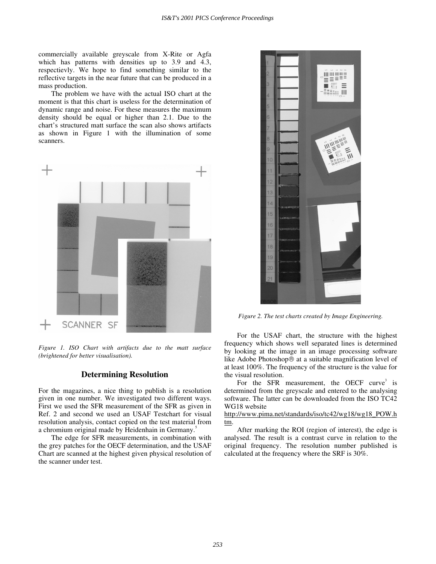commercially available greyscale from X-Rite or Agfa which has patterns with densities up to 3.9 and 4.3, respectievly. We hope to find something similar to the reflective targets in the near future that can be produced in a mass production.

The problem we have with the actual ISO chart at the moment is that this chart is useless for the determination of dynamic range and noise. For these measures the maximum density should be equal or higher than 2.1. Due to the chart's structured matt surface the scan also shows artifacts as shown in Figure 1 with the illumination of some scanners.



*Figure 1. ISO Chart with artifacts due to the matt surface (brightened for better visualisation).* 

# **Determining Resolution**

For the magazines, a nice thing to publish is a resolution given in one number. We investigated two different ways. First we used the SFR measurement of the SFR as given in Ref. 2 and second we used an USAF Testchart for visual resolution analysis, contact copied on the test material from a chromium original made by Heidenhain in Germany.<sup>5</sup>

The edge for SFR measurements, in combination with the grey patches for the OECF determination, and the USAF Chart are scanned at the highest given physical resolution of the scanner under test.



*Figure 2. The test charts created by Image Engineering.* 

For the USAF chart, the structure with the highest frequency which shows well separated lines is determined by looking at the image in an image processing software like Adobe Photoshop<sup>®</sup> at a suitable magnification level of at least 100%. The frequency of the structure is the value for the visual resolution.

For the SFR measurement, the OECF curve<sup>3</sup> is determined from the greyscale and entered to the analysing software. The latter can be downloaded from the ISO TC42 WG18 website

http://www.pima.net/standards/iso/tc42/wg18/wg18\_POW.h tm.

After marking the ROI (region of interest), the edge is analysed. The result is a contrast curve in relation to the original frequency. The resolution number published is calculated at the frequency where the SRF is 30%.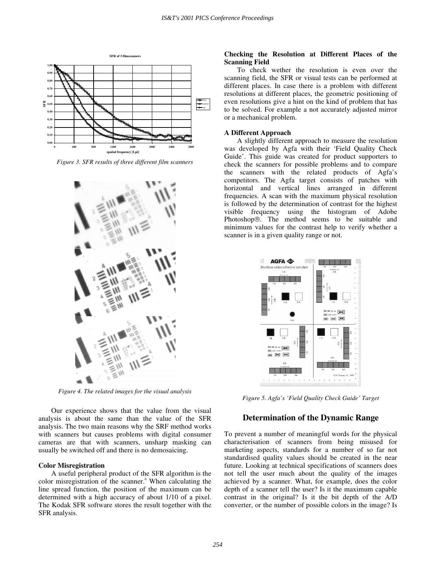

*Figure 3. SFR results of three different film scanners* 



*Figure 4. The related images for the visual analysis* 

Our experience shows that the value from the visual analysis is about the same than the value of the SFR analysis. The two main reasons why the SRF method works with scanners but causes problems with digital consumer cameras are that with scanners, unsharp masking can usually be switched off and there is no demosaicing.

#### **Color Misregistration**

A useful peripheral product of the SFR algorithm is the color misregistration of the scanner.<sup>6</sup> When calculating the line spread function, the position of the maximum can be determined with a high accuracy of about 1/10 of a pixel. The Kodak SFR software stores the result together with the SFR analysis.

## **Checking the Resolution at Different Places of the Scanning Field**

To check wether the resolution is even over the scanning field, the SFR or visual tests can be performed at different places. In case there is a problem with different resolutions at different places, the geometric positioning of even resolutions give a hint on the kind of problem that has to be solved. For example a not accurately adjusted mirror or a mechanical problem.

#### **A Different Approach**

A slightly different approach to measure the resolution was developed by Agfa with their 'Field Quality Check Guide'. This guide was created for product supporters to check the scanners for possible problems and to compare the scanners with the related products of Agfa's competitors. The Agfa target consists of patches with horizontal and vertical lines arranged in different frequencies. A scan with the maximum physical resolution is followed by the determination of contrast for the highest visible frequency using the histogram of Adobe Photoshop<sup>®</sup>. The method seems to be suitable and minimum values for the contrast help to verify whether a scanner is in a given quality range or not.



*Figure 5. Agfa's 'Field Quality Check Guide' Target* 

## **Determination of the Dynamic Range**

To prevent a number of meaningful words for the physical characterisation of scanners from being misused for marketing aspects, standards for a number of so far not standardised quality values should be created in the near future. Looking at technical specifications of scanners does not tell the user much about the quality of the images achieved by a scanner. What, for example, does the color depth of a scanner tell the user? Is it the maximum capable contrast in the original? Is it the bit depth of the A/D converter, or the number of possible colors in the image? Is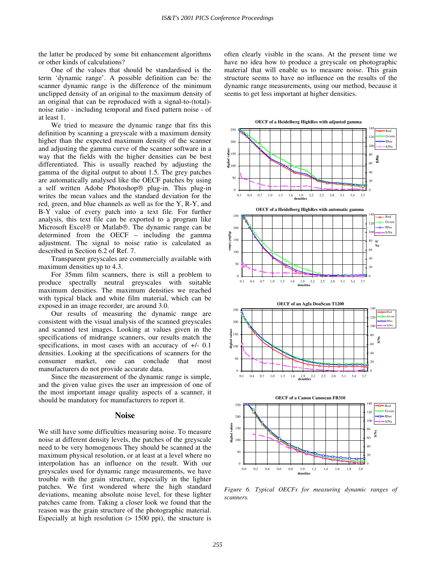the latter be produced by some bit enhancement algorithms or other kinds of calculations?

One of the values that should be standardised is the term 'dynamic range'. A possible definition can be: the scanner dynamic range is the difference of the minimum unclipped density of an original to the maximum density of an original that can be reproduced with a signal-to-(total) noise ratio - including temporal and fixed pattern noise - of at least 1.

We tried to measure the dynamic range that fits this definition by scanning a greyscale with a maximum density higher than the expected maximum density of the scanner and adjusting the gamma curve of the scanner software in a way that the fields with the higher densities can be best differentiated. This is usually reached by adjusting the gamma of the digital output to about 1.5. The grey patches are automatically analysed like the OECF patches by using a self written Adobe Photoshop<sup>®</sup> plug-in. This plug-in writes the mean values and the standard deviation for the red, green, and blue channels as well as for the Y, R-Y, and B-Y value of every patch into a text file. For further analysis, this text file can be exported to a program like Microsoft Excel<sup>®</sup> or Matlab<sup>®</sup>. The dynamic range can be determined from the OECF – including the gamma adjustment. The signal to noise ratio is calculated as described in Section 6.2 of Ref. 7.

Transparent greyscales are commercially available with maximum densities up to 4.3.

For 35mm film scanners, there is still a problem to produce spectrally neutral greyscales with suitable maximum densities. The maximum densities we reached with typical black and white film material, which can be exposed in an image recorder, are around 3.0.

Our results of measuring the dynamic range are consistent with the visual analysis of the scanned greyscales and scanned test images. Looking at values given in the specifications of midrange scanners, our results match the specifications, in most cases with an accuracy of  $+/- 0.1$ densities. Looking at the specifications of scanners for the consumer market, one can conclude that most manufacturers do not provide accurate data.

Since the measurement of the dynamic range is simple, and the given value gives the user an impression of one of the most important image quality aspects of a scanner, it should be mandatory for manufacturers to report it.

### **Noise**

We still have some difficulties measuring noise. To measure noise at different density levels, the patches of the greyscale need to be very homogenous They should be scanned at the maximum physical resolution, or at least at a level where no interpolation has an influence on the result. With our greyscales used for dynamic range measurements, we have trouble with the grain structure, especially in the lighter patches. We first wondered where the high standard deviations, meaning absolute noise level, for these lighter patches came from. Taking a closer look we found that the reason was the grain structure of the photographic material. Especially at high resolution  $(> 1500 \text{ ppi})$ , the structure is often clearly visible in the scans. At the present time we have no idea how to produce a greyscale on photographic material that will enable us to measure noise. This grain structure seems to have no influence on the results of the dynamic range measurements, using our method, because it seems to get less important at higher densities.



*Figure 6. Typical OECFs for measuring dynamic ranges of scanners.*